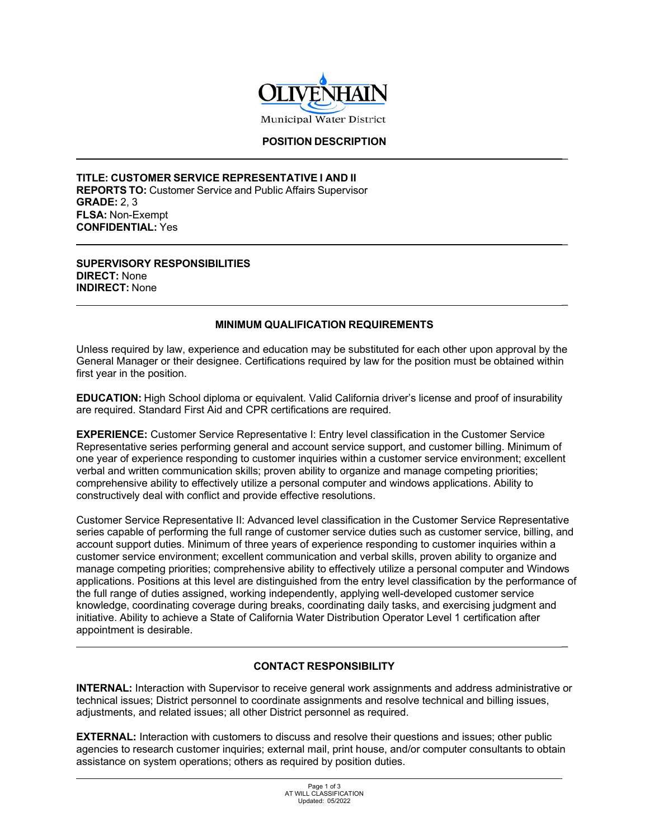

# **POSITION DESCRIPTION**

\_

\_

\_

\_

**TITLE: CUSTOMER SERVICE REPRESENTATIVE I AND II REPORTS TO:** Customer Service and Public Affairs Supervisor **GRADE:** 2, 3 **FLSA:** Non-Exempt **CONFIDENTIAL:** Yes

**SUPERVISORY RESPONSIBILITIES DIRECT:** None **INDIRECT:** None

## **MINIMUM QUALIFICATION REQUIREMENTS**

Unless required by law, experience and education may be substituted for each other upon approval by the General Manager or their designee. Certifications required by law for the position must be obtained within first year in the position.

**EDUCATION:** High School diploma or equivalent. Valid California driver's license and proof of insurability are required. Standard First Aid and CPR certifications are required.

**EXPERIENCE:** Customer Service Representative I: Entry level classification in the Customer Service Representative series performing general and account service support, and customer billing. Minimum of one year of experience responding to customer inquiries within a customer service environment; excellent verbal and written communication skills; proven ability to organize and manage competing priorities; comprehensive ability to effectively utilize a personal computer and windows applications. Ability to constructively deal with conflict and provide effective resolutions.

Customer Service Representative II: Advanced level classification in the Customer Service Representative series capable of performing the full range of customer service duties such as customer service, billing, and account support duties. Minimum of three years of experience responding to customer inquiries within a customer service environment; excellent communication and verbal skills, proven ability to organize and manage competing priorities; comprehensive ability to effectively utilize a personal computer and Windows applications. Positions at this level are distinguished from the entry level classification by the performance of the full range of duties assigned, working independently, applying well-developed customer service knowledge, coordinating coverage during breaks, coordinating daily tasks, and exercising judgment and initiative. Ability to achieve a State of California Water Distribution Operator Level 1 certification after appointment is desirable.

## **CONTACT RESPONSIBILITY**

**INTERNAL:** Interaction with Supervisor to receive general work assignments and address administrative or technical issues; District personnel to coordinate assignments and resolve technical and billing issues, adjustments, and related issues; all other District personnel as required.

**EXTERNAL:** Interaction with customers to discuss and resolve their questions and issues; other public agencies to research customer inquiries; external mail, print house, and/or computer consultants to obtain assistance on system operations; others as required by position duties.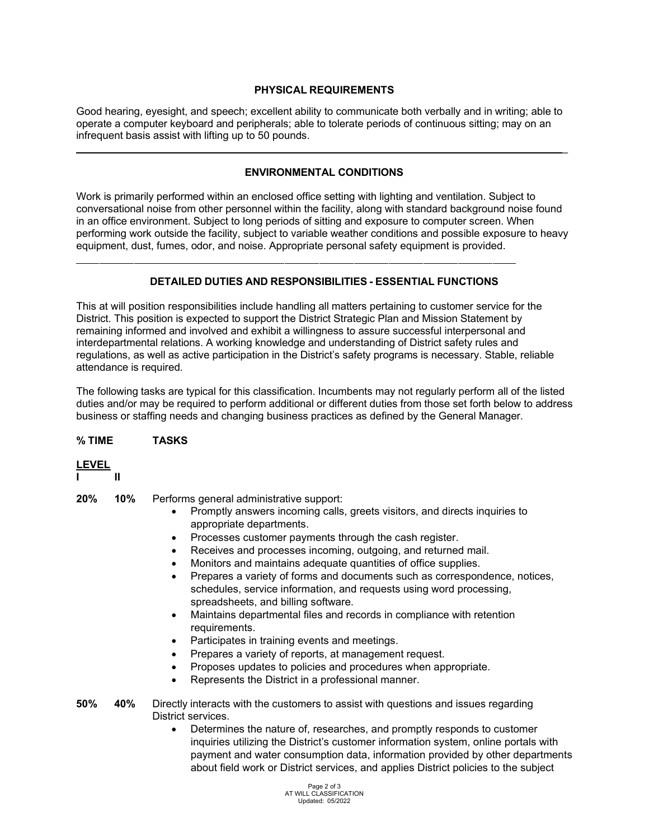# **PHYSICAL REQUIREMENTS**

Good hearing, eyesight, and speech; excellent ability to communicate both verbally and in writing; able to operate a computer keyboard and peripherals; able to tolerate periods of continuous sitting; may on an infrequent basis assist with lifting up to 50 pounds.

# **ENVIRONMENTAL CONDITIONS**

\_

Work is primarily performed within an enclosed office setting with lighting and ventilation. Subject to conversational noise from other personnel within the facility, along with standard background noise found in an office environment. Subject to long periods of sitting and exposure to computer screen. When performing work outside the facility, subject to variable weather conditions and possible exposure to heavy equipment, dust, fumes, odor, and noise. Appropriate personal safety equipment is provided.

## **DETAILED DUTIES AND RESPONSIBILITIES - ESSENTIAL FUNCTIONS**

This at will position responsibilities include handling all matters pertaining to customer service for the District. This position is expected to support the District Strategic Plan and Mission Statement by remaining informed and involved and exhibit a willingness to assure successful interpersonal and interdepartmental relations. A working knowledge and understanding of District safety rules and regulations, as well as active participation in the District's safety programs is necessary. Stable, reliable attendance is required.

The following tasks are typical for this classification. Incumbents may not regularly perform all of the listed duties and/or may be required to perform additional or different duties from those set forth below to address business or staffing needs and changing business practices as defined by the General Manager.

## **% TIME TASKS**

## **LEVEL**

**I II**

- **20% 10%** Performs general administrative support:
	- Promptly answers incoming calls, greets visitors, and directs inquiries to appropriate departments.
	- Processes customer payments through the cash register.
	- Receives and processes incoming, outgoing, and returned mail.
	- Monitors and maintains adequate quantities of office supplies.
	- Prepares a variety of forms and documents such as correspondence, notices, schedules, service information, and requests using word processing, spreadsheets, and billing software.
	- Maintains departmental files and records in compliance with retention requirements.
	- Participates in training events and meetings.
	- Prepares a variety of reports, at management request.
	- Proposes updates to policies and procedures when appropriate.
	- Represents the District in a professional manner.
- **50% 40%** Directly interacts with the customers to assist with questions and issues regarding District services.
	- Determines the nature of, researches, and promptly responds to customer inquiries utilizing the District's customer information system, online portals with payment and water consumption data, information provided by other departments about field work or District services, and applies District policies to the subject